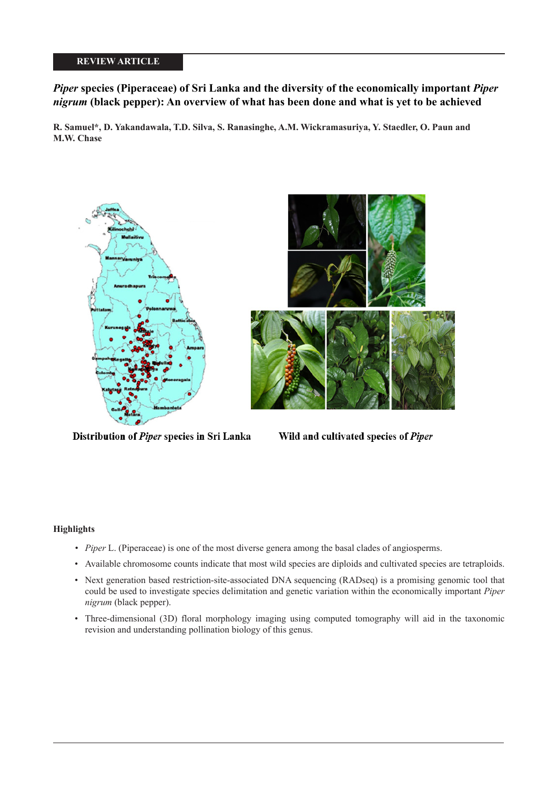# **REVIEW ARTICLE**

# *Piper* **species (Piperaceae) of Sri Lanka and the diversity of the economically important** *Piper nigrum* **(black pepper): An overview of what has been done and what is yet to be achieved**

**R. Samuel\*, D. Yakandawala, T.D. Silva, S. Ranasinghe, A.M. Wickramasuriya, Y. Staedler, O. Paun and M.W. Chase**



Distribution of Piper species in Sri Lanka

Wild and cultivated species of Piper

# **Highlights**

- *Piper* L. (Piperaceae) is one of the most diverse genera among the basal clades of angiosperms.
- Available chromosome counts indicate that most wild species are diploids and cultivated species are tetraploids.
- Next generation based restriction-site-associated DNA sequencing (RADseq) is a promising genomic tool that could be used to investigate species delimitation and genetic variation within the economically important *Piper nigrum* (black pepper).
- Three-dimensional (3D) floral morphology imaging using computed tomography will aid in the taxonomic revision and understanding pollination biology of this genus.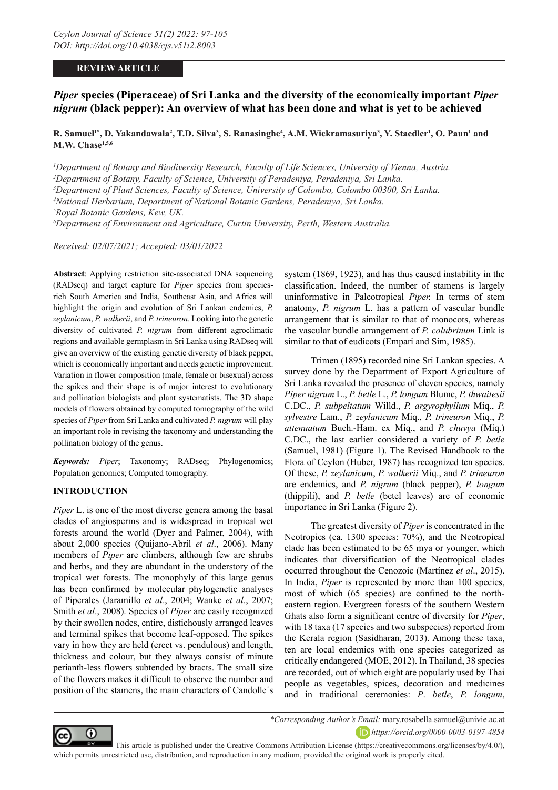## **REVIEW ARTICLE**

# *Piper* **species (Piperaceae) of Sri Lanka and the diversity of the economically important** *Piper nigrum* **(black pepper): An overview of what has been done and what is yet to be achieved**

 $R$ . Samuel<sup>1\*</sup>, D. Yakandawala<sup>2</sup>, T.D. Silva<sup>3</sup>, S. Ranasinghe<sup>4</sup>, A.M. Wickramasuriya<sup>3</sup>, Y. Staedler<sup>1</sup>, O. Paun<sup>1</sup> and **M.W. Chase1,5,6**

*1 Department of Botany and Biodiversity Research, Faculty of Life Sciences, University of Vienna, Austria.*

*2 Department of Botany, Faculty of Science, University of Peradeniya, Peradeniya, Sri Lanka.*

*3 Department of Plant Sciences, Faculty of Science, University of Colombo, Colombo 00300, Sri Lanka.*

*4 National Herbarium, Department of National Botanic Gardens, Peradeniya, Sri Lanka.*

*5 Royal Botanic Gardens, Kew, UK.*

*6 Department of Environment and Agriculture, Curtin University, Perth, Western Australia.*

*Received: 02/07/2021; Accepted: 03/01/2022*

**Abstract**: Applying restriction site-associated DNA sequencing (RADseq) and target capture for *Piper* species from speciesrich South America and India, Southeast Asia, and Africa will highlight the origin and evolution of Sri Lankan endemics, *P. zeylanicum*, *P. walkerii*, and *P. trineuron*. Looking into the genetic diversity of cultivated *P. nigrum* from different agroclimatic regions and available germplasm in Sri Lanka using RADseq will give an overview of the existing genetic diversity of black pepper, which is economically important and needs genetic improvement. Variation in flower composition (male, female or bisexual) across the spikes and their shape is of major interest to evolutionary and pollination biologists and plant systematists. The 3D shape models of flowers obtained by computed tomography of the wild species of *Piper* from Sri Lanka and cultivated *P. nigrum* will play an important role in revising the taxonomy and understanding the pollination biology of the genus.

*Keywords: Piper*; Taxonomy; RADseq; Phylogenomics; Population genomics; Computed tomography.

## **INTRODUCTION**

*Piper L*. is one of the most diverse genera among the basal clades of angiosperms and is widespread in tropical wet forests around the world (Dyer and Palmer, 2004), with about 2,000 species (Quijano-Abril *et al*., 2006). Many members of *Piper* are climbers, although few are shrubs and herbs, and they are abundant in the understory of the tropical wet forests. The monophyly of this large genus has been confirmed by molecular phylogenetic analyses of Piperales (Jaramillo *et al*., 2004; Wanke *et al*., 2007; Smith *et al*., 2008). Species of *Piper* are easily recognized by their swollen nodes, entire, distichously arranged leaves and terminal spikes that become leaf-opposed. The spikes vary in how they are held (erect vs. pendulous) and length, thickness and colour, but they always consist of minute perianth-less flowers subtended by bracts. The small size of the flowers makes it difficult to observe the number and position of the stamens, the main characters of Candolle´s system (1869, 1923), and has thus caused instability in the classification. Indeed, the number of stamens is largely uninformative in Paleotropical *Piper.* In terms of stem anatomy, *P. nigrum* L. has a pattern of vascular bundle arrangement that is similar to that of monocots, whereas the vascular bundle arrangement of *P. colubrinum* Link is similar to that of eudicots (Empari and Sim, 1985).

Trimen (1895) recorded nine Sri Lankan species. A survey done by the Department of Export Agriculture of Sri Lanka revealed the presence of eleven species, namely *Piper nigrum* L., *P. betle* L., *P. longum* Blume, *P. thwaitesii*  C.DC., *P. subpeltatum* Willd., *P. argyrophyllum* Miq., *P. sylvestre* Lam., *P. zeylanicum* Miq., *P. trineuron* Miq., *P. attenuatum* Buch.-Ham. ex Miq., and *P. chuvya* (Miq.) C.DC., the last earlier considered a variety of *P. betle*  (Samuel, 1981) (Figure 1). The Revised Handbook to the Flora of Ceylon (Huber, 1987) has recognized ten species. Of these, *P. zeylanicum*, *P. walkerii* Miq., and *P. trineuron*  are endemics, and *P. nigrum* (black pepper), *P. longum*  (thippili), and *P. betle* (betel leaves) are of economic importance in Sri Lanka (Figure 2).

The greatest diversity of *Piper* is concentrated in the Neotropics (ca. 1300 species: 70%), and the Neotropical clade has been estimated to be 65 mya or younger, which indicates that diversification of the Neotropical clades occurred throughout the Cenozoic (Martínez *et al*., 2015). In India, *Piper* is represented by more than 100 species, most of which (65 species) are confined to the northeastern region. Evergreen forests of the southern Western Ghats also form a significant centre of diversity for *Piper*, with 18 taxa (17 species and two subspecies) reported from the Kerala region (Sasidharan, 2013). Among these taxa, ten are local endemics with one species categorized as critically endangered (MOE, 2012). In Thailand, 38 species are recorded, out of which eight are popularly used by Thai people as vegetables, spices, decoration and medicines and in traditional ceremonies: *P*. *betle*, *P. longum*,



 This article is published under the Creative Commons Attribution License (https://creativecommons.org/licenses/by/4.0/), which permits unrestricted use, distribution, and reproduction in any medium, provided the original work is properly cited.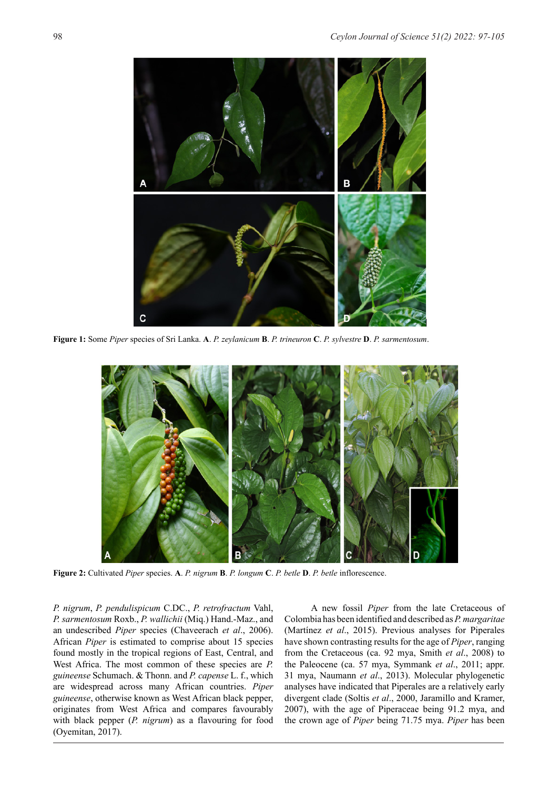

**Figure 1:** Some *Piper* species of Sri Lanka. **A**. *P. zeylanicum* **B**. *P. trineuron* **C**. *P. sylvestre* **D**. *P. sarmentosum*.



**Figure 2:** Cultivated *Piper* species. **A**. *P. nigrum* **B**. *P. longum* **C**. *P. betle* **D**. *P. betle* inflorescence.

*P. nigrum*, *P. pendulispicum* C.DC., *P. retrofractum* Vahl, *P. sarmentosum* Roxb., *P. wallichii* (Miq.) Hand.-Maz., and an undescribed *Piper* species (Chaveerach *et al*., 2006). African *Piper* is estimated to comprise about 15 species found mostly in the tropical regions of East, Central, and West Africa. The most common of these species are *P. guineense* Schumach. & Thonn. and *P. capense* L. f., which are widespread across many African countries. *Piper guineense*, otherwise known as West African black pepper, originates from West Africa and compares favourably with black pepper (*P. nigrum*) as a flavouring for food (Oyemitan, 2017).

A new fossil *Piper* from the late Cretaceous of Colombia has been identified and described as *P. margaritae*  (Martínez *et al*., 2015). Previous analyses for Piperales have shown contrasting results for the age of *Piper*, ranging from the Cretaceous (ca. 92 mya, Smith *et al*., 2008) to the Paleocene (ca. 57 mya, Symmank *et al*., 2011; appr. 31 mya, Naumann *et al*., 2013). Molecular phylogenetic analyses have indicated that Piperales are a relatively early divergent clade (Soltis *et al*., 2000, Jaramillo and Kramer, 2007), with the age of Piperaceae being 91.2 mya, and the crown age of *Piper* being 71.75 mya. *Piper* has been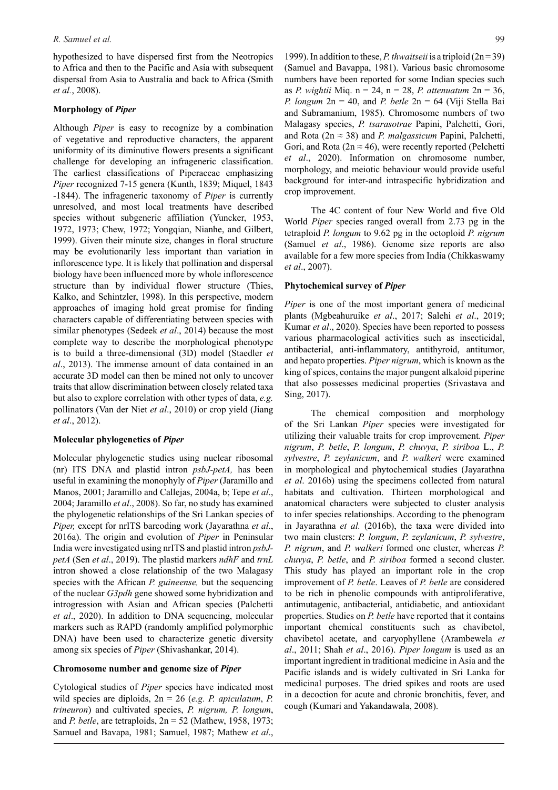hypothesized to have dispersed first from the Neotropics to Africa and then to the Pacific and Asia with subsequent dispersal from Asia to Australia and back to Africa (Smith *et al.*, 2008).

#### **Morphology of** *Piper*

Although *Piper* is easy to recognize by a combination of vegetative and reproductive characters, the apparent uniformity of its diminutive flowers presents a significant challenge for developing an infrageneric classification. The earliest classifications of Piperaceae emphasizing *Piper* recognized 7-15 genera (Kunth, 1839; Miquel, 1843 -1844). The infrageneric taxonomy of *Piper* is currently unresolved, and most local treatments have described species without subgeneric affiliation (Yuncker, 1953, 1972, 1973; Chew, 1972; Yongqian, Nianhe, and Gilbert, 1999). Given their minute size, changes in floral structure may be evolutionarily less important than variation in inflorescence type. It is likely that pollination and dispersal biology have been influenced more by whole inflorescence structure than by individual flower structure (Thies, Kalko, and Schintzler, 1998). In this perspective, modern approaches of imaging hold great promise for finding characters capable of differentiating between species with similar phenotypes (Sedeek *et al*., 2014) because the most complete way to describe the morphological phenotype is to build a three-dimensional (3D) model (Staedler *et al*., 2013). The immense amount of data contained in an accurate 3D model can then be mined not only to uncover traits that allow discrimination between closely related taxa but also to explore correlation with other types of data, *e.g.* pollinators (Van der Niet *et al*., 2010) or crop yield (Jiang *et al*., 2012).

#### **Molecular phylogenetics of** *Piper*

Molecular phylogenetic studies using nuclear ribosomal (nr) ITS DNA and plastid intron *psbJ-petA,* has been useful in examining the monophyly of *Piper* (Jaramillo and Manos, 2001; Jaramillo and Callejas, 2004a, b; Tepe *et al*., 2004; Jaramillo *et al*., 2008). So far, no study has examined the phylogenetic relationships of the Sri Lankan species of *Piper,* except for nrITS barcoding work (Jayarathna *et al*., 2016a). The origin and evolution of *Piper* in Peninsular India were investigated using nrITS and plastid intron *psbJpetA* (Sen *et al*., 2019). The plastid markers *ndhF* and *trnL*  intron showed a close relationship of the two Malagasy species with the African *P. guineense,* but the sequencing of the nuclear *G3pdh* gene showed some hybridization and introgression with Asian and African species (Palchetti *et al*., 2020). In addition to DNA sequencing, molecular markers such as RAPD (randomly amplified polymorphic DNA) have been used to characterize genetic diversity among six species of *Piper* (Shivashankar, 2014).

#### **Chromosome number and genome size of** *Piper*

Cytological studies of *Piper* species have indicated most wild species are diploids, 2n = 26 (*e.g. P. apiculatum*, *P. trineuron*) and cultivated species, *P. nigrum, P. longum*, and *P. betle*, are tetraploids, 2n = 52 (Mathew, 1958, 1973; Samuel and Bavapa, 1981; Samuel, 1987; Mathew *et al*., 1999). In addition to these, *P. thwaitseii* is a triploid (2n = 39) (Samuel and Bavappa, 1981). Various basic chromosome numbers have been reported for some Indian species such as *P. wightii* Miq. n = 24, n = 28, *P. attenuatum* 2n = 36, *P. longum* 2n = 40, and *P. betle* 2n = 64 (Viji Stella Bai and Subramanium, 1985). Chromosome numbers of two Malagasy species, *P. tsarasotrae* Papini, Palchetti, Gori, and Rota (2n ≈ 38) and *P. malgassicum* Papini, Palchetti, Gori, and Rota ( $2n \approx 46$ ), were recently reported (Pelchetti *et al*., 2020). Information on chromosome number, morphology, and meiotic behaviour would provide useful background for inter-and intraspecific hybridization and crop improvement.

The 4C content of four New World and five Old World *Piper* species ranged overall from 2.73 pg in the tetraploid *P. longum* to 9.62 pg in the octoploid *P. nigrum*  (Samuel *et al*., 1986). Genome size reports are also available for a few more species from India (Chikkaswamy *et al*., 2007).

### **Phytochemical survey of** *Piper*

*Piper* is one of the most important genera of medicinal plants (Mgbeahuruike *et al*., 2017; Salehi *et al*., 2019; Kumar *et al*., 2020). Species have been reported to possess various pharmacological activities such as insecticidal, antibacterial, anti-inflammatory, antithyroid, antitumor, and hepato properties. *Piper nigrum*, which is known as the king of spices, contains the major pungent alkaloid piperine that also possesses medicinal properties (Srivastava and Sing, 2017).

The chemical composition and morphology of the Sri Lankan *Piper* species were investigated for utilizing their valuable traits for crop improvement*. Piper nigrum*, *P. betle*, *P. longum*, *P. chuvya*, *P. siriboa* L., *P. sylvestre*, *P. zeylanicum*, and *P. walkeri* were examined in morphological and phytochemical studies (Jayarathna *et al*. 2016b) using the specimens collected from natural habitats and cultivation. Thirteen morphological and anatomical characters were subjected to cluster analysis to infer species relationships. According to the phenogram in Jayarathna *et al.* (2016b), the taxa were divided into two main clusters: *P. longum*, *P. zeylanicum*, *P. sylvestre*, *P. nigrum*, and *P. walkeri* formed one cluster, whereas *P. chuvya*, *P. betle*, and *P. siriboa* formed a second cluster. This study has played an important role in the crop improvement of *P. betle*. Leaves of *P. betle* are considered to be rich in phenolic compounds with antiproliferative, antimutagenic, antibacterial, antidiabetic, and antioxidant properties. Studies on *P. betle* have reported that it contains important chemical constituents such as chavibetol, chavibetol acetate, and caryophyllene (Arambewela *et al*., 2011; Shah *et al*., 2016). *Piper longum* is used as an important ingredient in traditional medicine in Asia and the Pacific islands and is widely cultivated in Sri Lanka for medicinal purposes. The dried spikes and roots are used in a decoction for acute and chronic bronchitis, fever, and cough (Kumari and Yakandawala, 2008).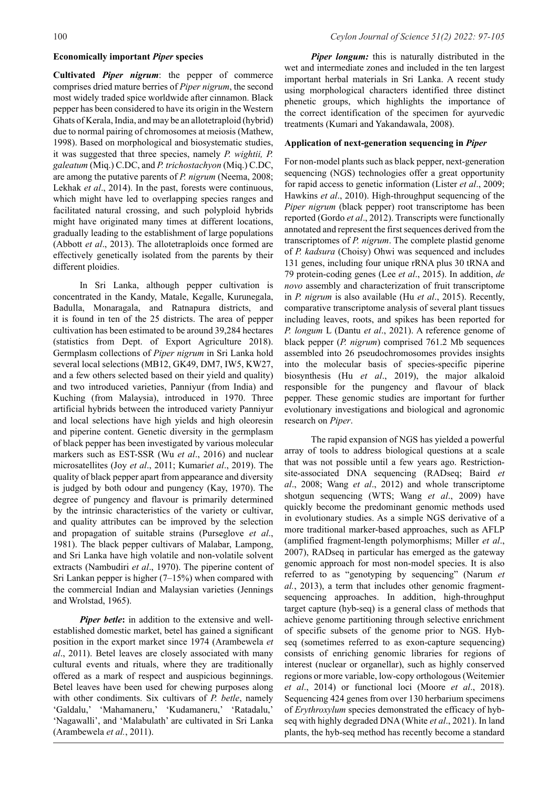## **Economically important** *Piper* **species**

**Cultivated** *Piper nigrum*: the pepper of commerce comprises dried mature berries of *Piper nigrum*, the second most widely traded spice worldwide after cinnamon. Black pepper has been considered to have its origin in the Western Ghats of Kerala, India, and may be an allotetraploid (hybrid) due to normal pairing of chromosomes at meiosis (Mathew, 1998). Based on morphological and biosystematic studies, it was suggested that three species, namely *P. wightii, P. galeatum* (Miq.) C.DC, and *P. trichostachyon* (Miq.) C.DC, are among the putative parents of *P. nigrum* (Neema, 2008; Lekhak *et al*., 2014). In the past, forests were continuous, which might have led to overlapping species ranges and facilitated natural crossing, and such polyploid hybrids might have originated many times at different locations, gradually leading to the establishment of large populations (Abbott *et al*., 2013). The allotetraploids once formed are effectively genetically isolated from the parents by their different ploidies.

In Sri Lanka, although pepper cultivation is concentrated in the Kandy, Matale, Kegalle, Kurunegala, Badulla, Monaragala, and Ratnapura districts, and it is found in ten of the 25 districts. The area of pepper cultivation has been estimated to be around 39,284 hectares (statistics from Dept. of Export Agriculture 2018). Germplasm collections of *Piper nigrum* in Sri Lanka hold several local selections (MB12, GK49, DM7, IW5, KW27, and a few others selected based on their yield and quality) and two introduced varieties, Panniyur (from India) and Kuching (from Malaysia), introduced in 1970. Three artificial hybrids between the introduced variety Panniyur and local selections have high yields and high oleoresin and piperine content. Genetic diversity in the germplasm of black pepper has been investigated by various molecular markers such as EST-SSR (Wu *et al*., 2016) and nuclear microsatellites (Joy *et al*., 2011; Kumari*et al*., 2019). The quality of black pepper apart from appearance and diversity is judged by both odour and pungency (Kay, 1970). The degree of pungency and flavour is primarily determined by the intrinsic characteristics of the variety or cultivar, and quality attributes can be improved by the selection and propagation of suitable strains (Purseglove *et al*., 1981). The black pepper cultivars of Malabar, Lampong, and Sri Lanka have high volatile and non-volatile solvent extracts (Nambudiri *et al*., 1970). The piperine content of Sri Lankan pepper is higher  $(7-15%)$  when compared with the commercial Indian and Malaysian varieties (Jennings and Wrolstad, 1965).

*Piper betle***:** in addition to the extensive and wellestablished domestic market, betel has gained a significant position in the export market since 1974 (Arambewela *et al*., 2011). Betel leaves are closely associated with many cultural events and rituals, where they are traditionally offered as a mark of respect and auspicious beginnings. Betel leaves have been used for chewing purposes along with other condiments. Six cultivars of *P. betle*, namely 'Galdalu,' 'Mahamaneru,' 'Kudamaneru,' 'Ratadalu,' 'Nagawalli', and 'Malabulath' are cultivated in Sri Lanka (Arambewela *et al.*, 2011).

*Piper longum:* this is naturally distributed in the wet and intermediate zones and included in the ten largest important herbal materials in Sri Lanka. A recent study using morphological characters identified three distinct phenetic groups, which highlights the importance of the correct identification of the specimen for ayurvedic treatments (Kumari and Yakandawala, 2008).

#### **Application of next-generation sequencing in** *Piper*

For non-model plants such as black pepper, next-generation sequencing (NGS) technologies offer a great opportunity for rapid access to genetic information (Lister *et al*., 2009; Hawkins *et al*., 2010). High-throughput sequencing of the *Piper nigrum* (black pepper) root transcriptome has been reported (Gordo *et al*., 2012). Transcripts were functionally annotated and represent the first sequences derived from the transcriptomes of *P. nigrum*. The complete plastid genome of *P. kadsura* (Choisy) Ohwi was sequenced and includes 131 genes, including four unique rRNA plus 30 tRNA and 79 protein-coding genes (Lee *et al*., 2015). In addition, *de novo* assembly and characterization of fruit transcriptome in *P. nigrum* is also available (Hu *et al*., 2015). Recently, comparative transcriptome analysis of several plant tissues including leaves, roots, and spikes has been reported for *P. longum* L (Dantu *et al*., 2021). A reference genome of black pepper (*P. nigrum*) comprised 761.2 Mb sequences assembled into 26 pseudochromosomes provides insights into the molecular basis of species-specific piperine biosynthesis (Hu *et al*., 2019), the major alkaloid responsible for the pungency and flavour of black pepper. These genomic studies are important for further evolutionary investigations and biological and agronomic research on *Piper*.

The rapid expansion of NGS has yielded a powerful array of tools to address biological questions at a scale that was not possible until a few years ago. Restrictionsite-associated DNA sequencing (RADseq; Baird *et al*., 2008; Wang *et al*., 2012) and whole transcriptome shotgun sequencing (WTS; Wang *et al*., 2009) have quickly become the predominant genomic methods used in evolutionary studies. As a simple NGS derivative of a more traditional marker-based approaches, such as AFLP (amplified fragment-length polymorphisms; Miller *et al*., 2007), RADseq in particular has emerged as the gateway genomic approach for most non-model species. It is also referred to as "genotyping by sequencing" (Narum *et al.*, 2013), a term that includes other genomic fragmentsequencing approaches. In addition, high-throughput target capture (hyb-seq) is a general class of methods that achieve genome partitioning through selective enrichment of specific subsets of the genome prior to NGS. Hybseq (sometimes referred to as exon-capture sequencing) consists of enriching genomic libraries for regions of interest (nuclear or organellar), such as highly conserved regions or more variable, low-copy orthologous (Weitemier *et al*., 2014) or functional loci (Moore *et al*., 2018). Sequencing 424 genes from over 130 herbarium specimens of *Erythroxylum* species demonstrated the efficacy of hybseq with highly degraded DNA (White *et al*., 2021). In land plants, the hyb-seq method has recently become a standard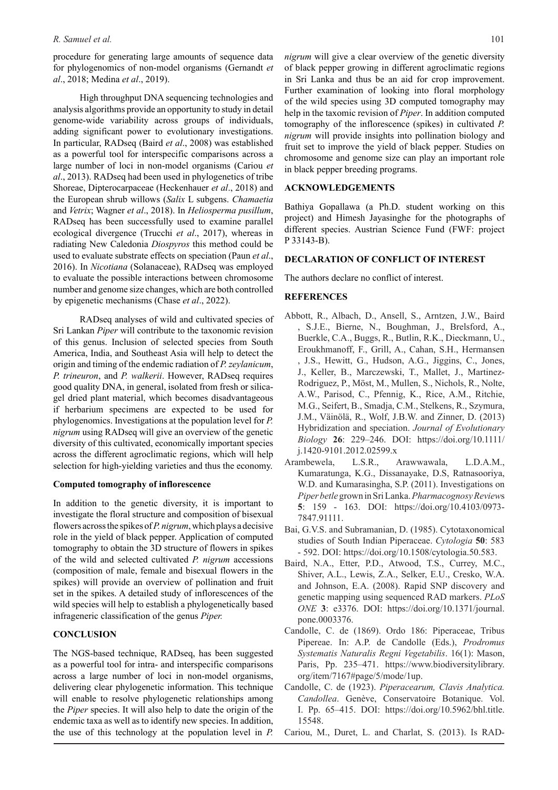#### *R. Samuel et al.* 101

procedure for generating large amounts of sequence data for phylogenomics of non-model organisms (Gernandt *et al*., 2018; Medina *et al*., 2019).

High throughput DNA sequencing technologies and analysis algorithms provide an opportunity to study in detail genome-wide variability across groups of individuals, adding significant power to evolutionary investigations. In particular, RADseq (Baird *et al*., 2008) was established as a powerful tool for interspecific comparisons across a large number of loci in non-model organisms (Cariou *et al*., 2013). RADseq had been used in phylogenetics of tribe Shoreae, Dipterocarpaceae (Heckenhauer *et al*., 2018) and the European shrub willows (*Salix* L subgens. *Chamaetia* and *Vetrix*; Wagner *et al*., 2018). In *Heliosperma pusillum*, RADseq has been successfully used to examine parallel ecological divergence (Trucchi *et al*., 2017), whereas in radiating New Caledonia *Diospyros* this method could be used to evaluate substrate effects on speciation (Paun *et al*., 2016). In *Nicotiana* (Solanaceae), RADseq was employed to evaluate the possible interactions between chromosome number and genome size changes, which are both controlled by epigenetic mechanisms (Chase *et al*., 2022).

RADseq analyses of wild and cultivated species of Sri Lankan *Piper* will contribute to the taxonomic revision of this genus. Inclusion of selected species from South America, India, and Southeast Asia will help to detect the origin and timing of the endemic radiation of *P. zeylanicum*, *P. trineuron*, and *P. walkerii*. However, RADseq requires good quality DNA, in general, isolated from fresh or silicagel dried plant material, which becomes disadvantageous if herbarium specimens are expected to be used for phylogenomics. Investigations at the population level for *P. nigrum* using RADseq will give an overview of the genetic diversity of this cultivated, economically important species across the different agroclimatic regions, which will help selection for high-yielding varieties and thus the economy.

## **Computed tomography of inflorescence**

In addition to the genetic diversity, it is important to investigate the floral structure and composition of bisexual flowers across the spikes of *P. nigrum*, which plays a decisive role in the yield of black pepper. Application of computed tomography to obtain the 3D structure of flowers in spikes of the wild and selected cultivated *P. nigrum* accessions (composition of male, female and bisexual flowers in the spikes) will provide an overview of pollination and fruit set in the spikes. A detailed study of inflorescences of the wild species will help to establish a phylogenetically based infrageneric classification of the genus *Piper.* 

## **CONCLUSION**

The NGS-based technique, RADseq, has been suggested as a powerful tool for intra- and interspecific comparisons across a large number of loci in non-model organisms, delivering clear phylogenetic information. This technique will enable to resolve phylogenetic relationships among the *Piper* species. It will also help to date the origin of the endemic taxa as well as to identify new species. In addition, the use of this technology at the population level in *P.* 

*nigrum* will give a clear overview of the genetic diversity of black pepper growing in different agroclimatic regions in Sri Lanka and thus be an aid for crop improvement. Further examination of looking into floral morphology of the wild species using 3D computed tomography may help in the taxomic revision of *Piper*. In addition computed tomography of the inflorescence (spikes) in cultivated *P. nigrum* will provide insights into pollination biology and fruit set to improve the yield of black pepper. Studies on chromosome and genome size can play an important role in black pepper breeding programs.

#### **ACKNOWLEDGEMENTS**

Bathiya Gopallawa (a Ph.D. student working on this project) and Himesh Jayasinghe for the photographs of different species. Austrian Science Fund (FWF: project P 33143-B).

#### **DECLARATION OF CONFLICT OF INTEREST**

The authors declare no conflict of interest.

## **REFERENCES**

- Abbott, R., Albach, D., Ansell, S., Arntzen, J.W., Baird , S.J.E., Bierne, N., Boughman, J., Brelsford, A., Buerkle, C.A., Buggs, R., Butlin, R.K., Dieckmann, U., Eroukhmanoff, F., Grill, A., Cahan, S.H., Hermansen , J.S., Hewitt, G., Hudson, A.G., Jiggins, C., Jones, J., Keller, B., Marczewski, T., Mallet, J., Martinez-Rodriguez, P., Möst, M., Mullen, S., Nichols, R., Nolte, A.W., Parisod, C., Pfennig, K., Rice, A.M., Ritchie, M.G., Seifert, B., Smadja, C.M., Stelkens, R., Szymura, J.M., Väinölä, R., Wolf, J.B.W. and Zinner, D. (2013) Hybridization and speciation. *Journal of Evolutionary Biology* **26**: 229–246. DOI: https://doi.org/10.1111/ j.1420-9101.2012.02599.x
- Arambewela, L.S.R., Arawwawala, L.D.A.M., Kumaratunga, K.G., Dissanayake, D.S, Ratnasooriya, W.D. and Kumarasingha, S.P. (2011). Investigations on *Piper betle* grown in Sri Lanka. *Pharmacognosy Review*s **5**: 159 - 163. DOI: https://doi.org/10.4103/0973- 7847.91111.
- Bai, G.V.S. and Subramanian, D. (1985). Cytotaxonomical studies of South Indian Piperaceae. *Cytologia* **50**: 583 - 592. DOI: https://doi.org/10.1508/cytologia.50.583.
- Baird, N.A., Etter, P.D., Atwood, T.S., Currey, M.C., Shiver, A.L., Lewis, Z.A., Selker, E.U., Cresko, W.A. and Johnson, E.A. (2008). Rapid SNP discovery and genetic mapping using sequenced RAD markers. *PLoS ONE* **3**: e3376. DOI: https://doi.org/10.1371/journal. pone.0003376.
- Candolle, C. de (1869). Ordo 186: Piperaceae, Tribus Pipereae. In: A.P. de Candolle (Eds.), *Prodromus Systematis Naturalis Regni Vegetabilis*. 16(1): Mason, Paris, Pp. 235–471. https://www.biodiversitylibrary. org/item/7167#page/5/mode/1up.
- Candolle, C. de (1923). *Piperacearum, Clavis Analytica. Candollea*. Genève, Conservatoire Botanique. Vol. I. Pp. 65–415. DOI: https://doi.org/10.5962/bhl.title. 15548.
- Cariou, M., Duret, L. and Charlat, S. (2013). Is RAD-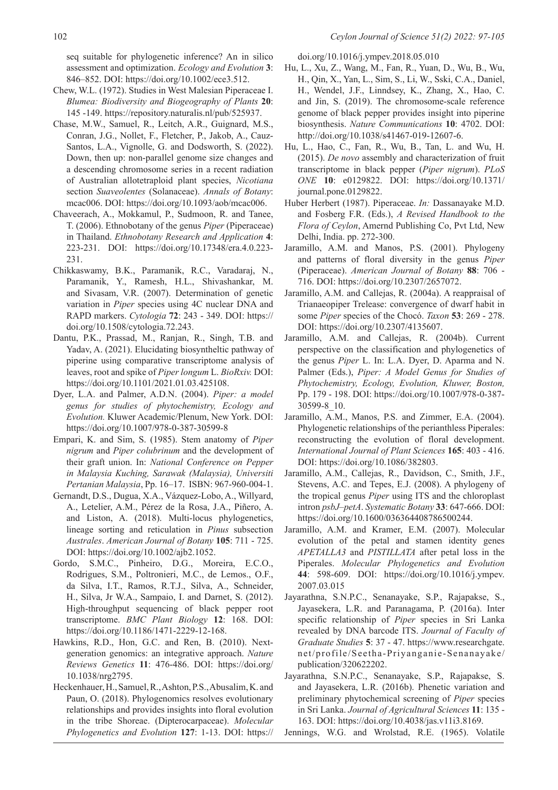seq suitable for phylogenetic inference? An in silico assessment and optimization. *Ecology and Evolution* **3**: 846–852. DOI: https://doi.org/10.1002/ece3.512.

- Chew, W.L. (1972). Studies in West Malesian Piperaceae I. *Blumea: Biodiversity and Biogeography of Plants* **20**: 145 -149. https://repository.naturalis.nl/pub/525937.
- Chase, M.W., Samuel, R., Leitch, A.R., Guignard, M.S., Conran, J.G., Nollet, F., Fletcher, P., Jakob, A., Cauz-Santos, L.A., Vignolle, G. and Dodsworth, S. (2022). Down, then up: non-parallel genome size changes and a descending chromosome series in a recent radiation of Australian allotetraploid plant species, *Nicotiana* section *Suaveolentes* (Solanaceae). *Annals of Botany*: mcac006. DOI: https://doi.org/10.1093/aob/mcac006.
- Chaveerach, A., Mokkamul, P., Sudmoon, R. and Tanee, T. (2006). Ethnobotany of the genus *Piper* (Piperaceae) in Thailand. *Ethnobotany Research and Application* **4**: 223-231. DOI: https://doi.org/10.17348/era.4.0.223- 231.
- Chikkaswamy, B.K., Paramanik, R.C., Varadaraj, N., Paramanik, Y., Ramesh, H.L., Shivashankar, M. and Sivasam, V.R. (2007). Determination of genetic variation in *Piper* species using 4C nuclear DNA and RAPD markers. *Cytologia* **72**: 243 - 349. DOI: https:// doi.org/10.1508/cytologia.72.243.
- Dantu, P.K., Prassad, M., Ranjan, R., Singh, T.B. and Yadav, A. (2021). Elucidating biosyntheltic pathway of piperine using comparative transcriptome analysis of leaves, root and spike of *Piper longum* L. *BioRxiv.* DOI: https://doi.org/10.1101/2021.01.03.425108.
- Dyer, L.A. and Palmer, A.D.N. (2004). *Piper: a model genus for studies of phytochemistry, Ecology and Evolution.* Kluwer Academic/Plenum, New York. DOI: https://doi.org/10.1007/978-0-387-30599-8
- Empari, K. and Sim, S. (1985). Stem anatomy of *Piper nigrum* and *Piper colubrinum* and the development of their graft union. In: *National Conference on Pepper in Malaysia Kuching, Sarawak (Malaysia), Universiti Pertanian Malaysia*, Pp. 16–17. ISBN: 967-960-004-1.
- Gernandt, D.S., Dugua, X.A., Vázquez-Lobo, A., Willyard, A., Letelier, A.M., Pérez de la Rosa, J.A., Piñero, A. and Liston, A. (2018). Multi-locus phylogenetics, lineage sorting and reticulation in *Pinus* subsection *Australes*. *American Journal of Botany* **105**: 711 - 725. DOI: https://doi.org/10.1002/ajb2.1052.
- Gordo, S.M.C., Pinheiro, D.G., Moreira, E.C.O., Rodrigues, S.M., Poltronieri, M.C., de Lemos., O.F., da Silva, I.T., Ramos, R.T.J., Silva, A., Schneider, H., Silva, Jr W.A., Sampaio, I. and Darnet, S. (2012). High-throughput sequencing of black pepper root transcriptome. *BMC Plant Biology* **12**: 168. DOI: https://doi.org/10.1186/1471-2229-12-168.
- Hawkins, R.D., Hon, G.C. and Ren, B. (2010). Nextgeneration genomics: an integrative approach. *Nature Reviews Genetics* **11**: 476-486. DOI: https://doi.org/ 10.1038/nrg2795.
- Heckenhauer, H., Samuel, R., Ashton, P.S., Abusalim, K. and Paun, O. (2018). Phylogenomics resolves evolutionary relationships and provides insights into floral evolution in the tribe Shoreae. (Dipterocarpaceae). *Molecular Phylogenetics and Evolution* **127**: 1-13. DOI: https://

doi.org/10.1016/j.ympev.2018.05.010

- Hu, L., Xu, Z., Wang, M., Fan, R., Yuan, D., Wu, B., Wu, H., Qin, X., Yan, L., Sim, S., Li, W., Sski, C.A., Daniel, H., Wendel, J.F., Linndsey, K., Zhang, X., Hao, C. and Jin, S. (2019). The chromosome-scale reference genome of black pepper provides insight into piperine biosynthesis. *Nature Communications* **10**: 4702. DOI: http://doi.org/10.1038/s41467-019-12607-6.
- Hu, L., Hao, C., Fan, R., Wu, B., Tan, L. and Wu, H. (2015). *De novo* assembly and characterization of fruit transcriptome in black pepper (*Piper nigrum*). *PLoS ONE* **10**: e0129822. DOI: https://doi.org/10.1371/ journal.pone.0129822.
- Huber Herbert (1987). Piperaceae. *In:* Dassanayake M.D. and Fosberg F.R. (Eds.), *A Revised Handbook to the Flora of Ceylon*, Amernd Publishing Co, Pvt Ltd, New Delhi, India. pp. 272-300.
- Jaramillo, A.M. and Manos, P.S. (2001). Phylogeny and patterns of floral diversity in the genus *Piper*  (Piperaceae). *American Journal of Botany* **88**: 706 - 716. DOI: https://doi.org/10.2307/2657072.
- Jaramillo, A.M. and Callejas, R. (2004a). A reappraisal of Trianaeopiper Trelease: convergence of dwarf habit in some *Piper* species of the Chocó. *Taxon* **53**: 269 - 278. DOI: https://doi.org/10.2307/4135607.
- Jaramillo, A.M. and Callejas, R. (2004b). Current perspective on the classification and phylogenetics of the genus *Piper* L. In: L.A. Dyer, D. Aparma and N. Palmer (Eds.), *Piper: A Model Genus for Studies of Phytochemistry, Ecology, Evolution, Kluwer, Boston,* Pp. 179 - 198. DOI: https://doi.org/10.1007/978-0-387- 30599-8\_10.
- Jaramillo, A.M., Manos, P.S. and Zimmer, E.A. (2004). Phylogenetic relationships of the perianthless Piperales: reconstructing the evolution of floral development. *International Journal of Plant Sciences* **165**: 403 - 416. DOI: https://doi.org/10.1086/382803.
- Jaramillo, A.M., Callejas, R., Davidson, C., Smith, J.F., Stevens, A.C. and Tepes, E.J. (2008). A phylogeny of the tropical genus *Piper* using ITS and the chloroplast intron *psbJ–petA*. *Systematic Botany* **33**: 647-666. DOI: https://doi.org/10.1600/036364408786500244.
- Jaramillo, A.M. and Kramer, E.M. (2007). Molecular evolution of the petal and stamen identity genes *APETALLA3* and *PISTILLATA* after petal loss in the Piperales. *Molecular Phylogenetics and Evolution*  **44**: 598-609. DOI: https://doi.org/10.1016/j.ympev. 2007.03.015
- Jayarathna, S.N.P.C., Senanayake, S.P., Rajapakse, S., Jayasekera, L.R. and Paranagama, P. (2016a). Inter specific relationship of *Piper* species in Sri Lanka revealed by DNA barcode ITS. *Journal of Faculty of Graduate Studies* **5**: 37 - 47. https://www.researchgate. net/profile/Seetha-Priyanganie-Senanayake/ publication/320622202.
- Jayarathna, S.N.P.C., Senanayake, S.P., Rajapakse, S. and Jayasekera, L.R. (2016b). Phenetic variation and preliminary phytochemical screening of *Piper* species in Sri Lanka. *Journal of Agricultural Sciences* **11**: 135 - 163. DOI: https://doi.org/10.4038/jas.v11i3.8169.

Jennings, W.G. and Wrolstad, R.E. (1965). Volatile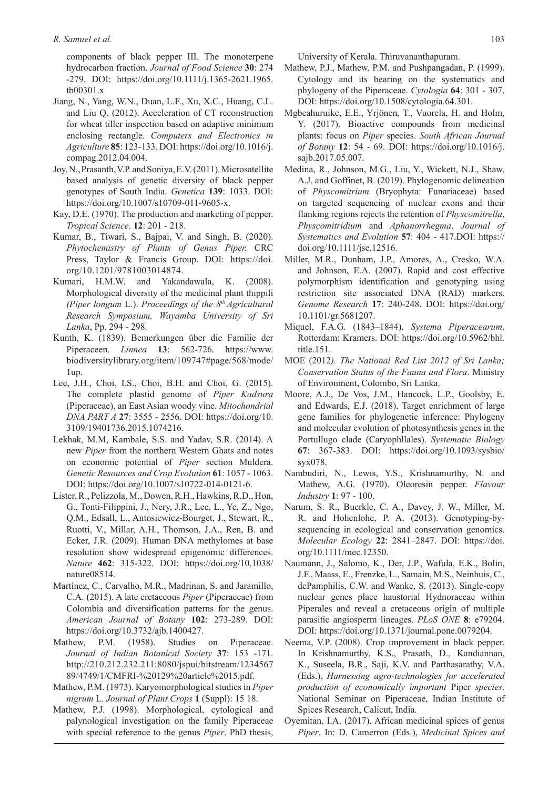components of black pepper III. The monoterpene hydrocarbon fraction. *Journal of Food Science* **30**: 274 -279. DOI: https://doi.org/10.1111/j.1365-2621.1965. tb00301.x

- Jiang, N., Yang, W.N., Duan, L.F., Xu, X.C., Huang, C.L. and Liu Q. (2012). Acceleration of CT reconstruction for wheat tiller inspection based on adaptive minimum enclosing rectangle. *Computers and Electronics in Agriculture* **85**: 123-133. DOI: https://doi.org/10.1016/j. compag.2012.04.004.
- Joy, N., Prasanth, V.P. and Soniya, E.V. (2011). Microsatellite based analysis of genetic diversity of black pepper genotypes of South India. *Genetica* **139**: 1033. DOI: https://doi.org/10.1007/s10709-011-9605-x.
- Kay, D.E. (1970). The production and marketing of pepper. *Tropical Science*. **12**: 201 - 218.
- Kumar, B., Tiwari, S., Bajpai, V. and Singh, B. (2020). *Phytochemistry of Plants of Genus Piper.* CRC Press, Taylor & Francis Group. DOI: https://doi. org/10.1201/9781003014874.
- Kumari, H.M.W. and Yakandawala, K. (2008). Morphological diversity of the medicinal plant thippili *(Piper longum* L.). *Proceedings of the 8th Agricultural Research Symposium, Wayamba University of Sri Lanka*, Pp. 294 - 298.
- Kunth, K. (1839). Bemerkungen über die Familie der Piperaceen. *Linnea* **13**: 562-726. https://www. biodiversitylibrary.org/item/109747#page/568/mode/ 1up.
- Lee, J.H., Choi, I.S., Choi, B.H. and Choi, G. (2015). The complete plastid genome of *Piper Kadsura*  (Piperaceae), an East Asian woody vine. *Mitochondrial DNA PART A* **27**: 3555 - 2556. DOI: https://doi.org/10. 3109/19401736.2015.1074216.
- Lekhak, M.M, Kambale, S.S. and Yadav, S.R. (2014). A new *Piper* from the northern Western Ghats and notes on economic potential of *Piper* section Muldera. *Genetic Resources and Crop Evolution* **61**: 1057 - 1063. DOI: https://doi.org/10.1007/s10722-014-0121-6.
- Lister, R., Pelizzola, M., Dowen, R.H., Hawkins, R.D., Hon, G., Tonti-Filippini, J., Nery, J.R., Lee, L., Ye, Z., Ngo, Q.M., Edsall, L., Antosiewicz-Bourget, J., Stewart, R., Ruotti, V., Millar, A.H., Thomson, J.A., Ren, B. and Ecker, J.R. (2009). Human DNA methylomes at base resolution show widespread epigenomic differences. *Nature* **462**: 315-322. DOI: https://doi.org/10.1038/ nature08514.
- Martínez, C., Carvalho, M.R., Madrinan, S. and Jaramillo, C.A. (2015). A late cretaceous *Piper* (Piperaceae) from Colombia and diversification patterns for the genus. *American Journal of Botany* **102**: 273-289. DOI: https://doi.org/10.3732/ajb.1400427.
- Mathew, P.M. (1958). Studies on Piperaceae. *Journal of Indian Botanical Society* **37**: 153 -171. http://210.212.232.211:8080/jspui/bitstream/1234567 89/4749/1/CMFRI-%20129%20article%2015.pdf.
- Mathew, P.M. (1973). Karyomorphological studies in *Piper nigrum* L. *Journal of Plant Crops* **1** (Suppl): 15 18.
- Mathew, P.J. (1998). Morphological, cytological and palynological investigation on the family Piperaceae with special reference to the genus *Piper*. PhD thesis,

University of Kerala. Thiruvananthapuram.

- Mathew, P.J., Mathew, P.M. and Pushpangadan, P. (1999). Cytology and its bearing on the systematics and phylogeny of the Piperaceae. *Cytologia* **64**: 301 - 307. DOI: https://doi.org/10.1508/cytologia.64.301.
- Mgbeahuruike, E.E., Yrjönen, T., Vuorela, H. and Holm, Y. (2017). Bioactive compounds from medicinal plants: focus on *Piper* species. *South African Journal of Botany* **12**: 54 - 69. DOI: https://doi.org/10.1016/j. sajb.2017.05.007.
- Medina, R., Johnson, M.G., Liu, Y., Wickett, N.J., Shaw, A.J. and Goffinet, B. (2019). Phylogenomic delineation of *Physcomitrium* (Bryophyta: Funariaceae) based on targeted sequencing of nuclear exons and their flanking regions rejects the retention of *Physcomitrella*, *Physcomitridium* and *Aphanorrhegma*. *Journal of Systematics and Evolution* **57**: 404 - 417.DOI: https:// doi.org/10.1111/jse.12516.
- Miller, M.R., Dunham, J.P., Amores, A., Cresko, W.A. and Johnson, E.A. (2007). Rapid and cost effective polymorphism identification and genotyping using restriction site associated DNA (RAD) markers. *Genome Research* **17**: 240-248. DOI: https://doi.org/ 10.1101/gr.5681207.
- Miquel, F.A.G. (1843–1844). *Systema Piperacearum*. Rotterdam: Kramers. DOI: https://doi.org/10.5962/bhl. title.151.
- MOE (2012*). The National Red List 2012 of Sri Lanka; Conservation Status of the Fauna and Flora*. Ministry of Environment, Colombo, Sri Lanka.
- Moore, A.J., De Vos, J.M., Hancock, L.P., Goolsby, E. and Edwards, E.J. (2018). Target enrichment of large gene families for phylogenetic inference: Phylogeny and molecular evolution of photosynthesis genes in the Portullugo clade (Caryophllales). *Systematic Biology* **67**: 367-383. DOI: https://doi.org/10.1093/sysbio/ syx078.
- Nambudiri, N., Lewis, Y.S., Krishnamurthy, N. and Mathew, A.G. (1970). Oleoresin pepper. *Flavour Industry* **1**: 97 - 100.
- Narum, S. R., Buerkle, C. A., Davey, J. W., Miller, M. R. and Hohenlohe, P. A. (2013). Genotyping-bysequencing in ecological and conservation genomics. *Molecular Ecology* **22**: 2841–2847. DOI: https://doi. org/10.1111/mec.12350.
- Naumann, J., Salomo, K., Der, J.P., Wafula, E.K., Bolin, J.F., Maass, E., Frenzke, L., Samain, M.S., Neinhuis, C., dePamphilis, C.W. and Wanke, S. (2013). Single-copy nuclear genes place haustorial Hydnoraceae within Piperales and reveal a cretaceous origin of multiple parasitic angiosperm lineages. *PLoS ONE* **8**: e79204. DOI: https://doi.org/10.1371/journal.pone.0079204.
- Neema, V.P. (2008). Crop improvement in black pepper. In Krishnamurthy, K.S., Prasath, D., Kandiannan, K., Suseela, B.R., Saji, K.V. and Parthasarathy, V.A. (Eds.), *Harnessing agro-technologies for accelerated production of economically important* Piper *species*. National Seminar on Piperaceae, Indian Institute of Spices Research, Calicut, India.
- Oyemitan, I.A. (2017). African medicinal spices of genus *Piper*. In: D. Camerron (Eds.), *Medicinal Spices and*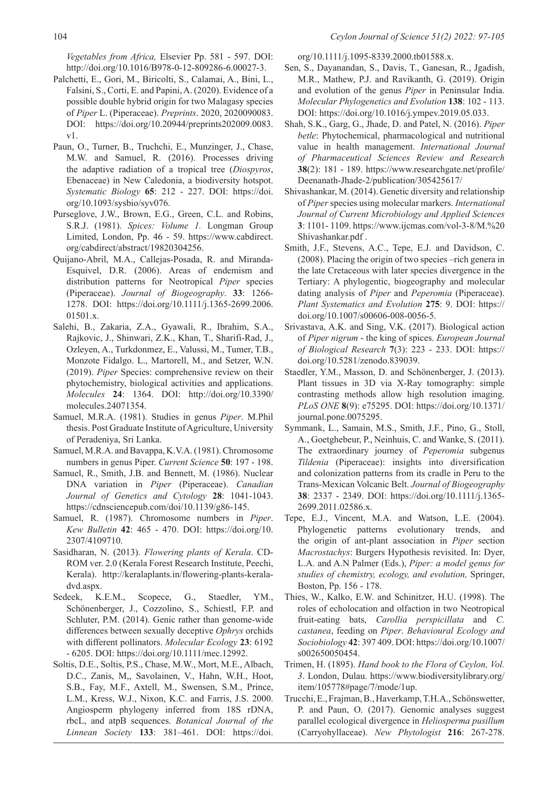*Vegetables from Africa,* Elsevier Pp. 581 - 597. DOI: http://doi.org/10.1016/B978-0-12-809286-6.00027-3.

- Palchetti, E., Gori, M., Biricolti, S., Calamai, A., Bini, L., Falsini, S., Corti, E. and Papini, A. (2020). Evidence of a possible double hybrid origin for two Malagasy species of *Piper* L. (Piperaceae). *Preprints*. 2020, 2020090083. DOI: https://doi.org/10.20944/preprints202009.0083. v1.
- Paun, O., Turner, B., Truchchi, E., Munzinger, J., Chase, M.W. and Samuel, R. (2016). Processes driving the adaptive radiation of a tropical tree (*Diospyros*, Ebenaceae) in New Caledonia, a biodiversity hotspot. *Systematic Biology* **65**: 212 - 227. DOI: https://doi. org/10.1093/sysbio/syv076.
- Purseglove, J.W., Brown, E.G., Green, C.L. and Robins, S.R.J. (1981). *Spices: Volume 1.* Longman Group Limited, London, Pp. 46 - 59. https://www.cabdirect. org/cabdirect/abstract/19820304256.
- Quijano-Abril, M.A., Callejas-Posada, R. and Miranda-Esquivel, D.R. (2006). Areas of endemism and distribution patterns for Neotropical *Piper* species (Piperaceae). *Journal of Biogeography*. **33**: 1266- 1278. DOI: https://doi.org/10.1111/j.1365-2699.2006. 01501.x.
- Salehi, B., Zakaria, Z.A., Gyawali, R., Ibrahim, S.A., Rajkovic, J., Shinwari, Z.K., Khan, T., Sharifi-Rad, J., Ozleyen, A., Turkdonmez, E., Valussi, M., Tumer, T.B., Monzote Fidalgo. L., Martorell, M., and Setzer, W.N. (2019). *Piper* Species: comprehensive review on their phytochemistry, biological activities and applications. *Molecules* **24**: 1364. DOI: http://doi.org/10.3390/ molecules.24071354.
- Samuel, M.R.A. (1981). Studies in genus *Piper*. M.Phil thesis. Post Graduate Institute of Agriculture, University of Peradeniya, Sri Lanka.
- Samuel, M.R.A. and Bavappa, K.V.A. (1981). Chromosome numbers in genus Piper. *Current Science* **50**: 197 - 198.
- Samuel, R., Smith, J.B. and Bennett, M. (1986). Nuclear DNA variation in *Piper* (Piperaceae). *Canadian Journal of Genetics and Cytology* **28**: 1041-1043. https://cdnsciencepub.com/doi/10.1139/g86-145.
- Samuel, R. (1987). Chromosome numbers in *Piper*. *Kew Bulletin* **42**: 465 - 470. DOI: https://doi.org/10. 2307/4109710.
- Sasidharan, N. (2013). *Flowering plants of Kerala*. CD-ROM ver. 2.0 (Kerala Forest Research Institute, Peechi, Kerala). http://keralaplants.in/flowering-plants-keraladvd.aspx.
- Sedeek, K.E.M., Scopece, G., Staedler, YM., Schönenberger, J., Cozzolino, S., Schiestl, F.P. and Schluter, P.M. (2014). Genic rather than genome-wide differences between sexually deceptive *Ophrys* orchids with different pollinators. *Molecular Ecology* **23**: 6192 - 6205. DOI: https://doi.org/10.1111/mec.12992.
- Soltis, D.E., Soltis, P.S., Chase, M.W., Mort, M.E., Albach, D.C., Zanis, M,, Savolainen, V., Hahn, W.H., Hoot, S.B., Fay, M.F., Axtell, M., Swensen, S.M., Prince, L.M., Kress, W.J., Nixon, K.C. and Farris, J.S. 2000. Angiosperm phylogeny inferred from 18S rDNA, rbcL, and atpB sequences. *Botanical Journal of the Linnean Society* **133**: 381–461. DOI: https://doi.

org/10.1111/j.1095-8339.2000.tb01588.x.

- Sen, S., Dayanandan, S., Davis, T., Ganesan, R., Jgadish, M.R., Mathew, P.J. and Ravikanth, G. (2019). Origin and evolution of the genus *Piper* in Peninsular India. *Molecular Phylogenetics and Evolution* **138**: 102 - 113. DOI: https://doi.org/10.1016/j.ympev.2019.05.033.
- Shah, S.K., Garg, G., Jhade, D. and Patel, N. (2016). *Piper betle*: Phytochemical, pharmacological and nutritional value in health management. *International Journal of Pharmaceutical Sciences Review and Research* **38**(2): 181 - 189. https://www.researchgate.net/profile/ Deenanath-Jhade-2/publication/305425617/
- Shivashankar, M. (2014). Genetic diversity and relationship of *Piper* species using molecular markers. *International Journal of Current Microbiology and Applied Sciences* **3**: 1101- 1109. https://www.ijcmas.com/vol-3-8/M.%20 Shivashankar.pdf .
- Smith, J.F., Stevens, A.C., Tepe, E.J. and Davidson, C. (2008). Placing the origin of two species –rich genera in the late Cretaceous with later species divergence in the Tertiary: A phylogentic, biogeography and molecular dating analysis of *Piper* and *Peperomia* (Piperaceae). *Plant Systematics and Evolution* **275**: 9. DOI: https:// doi.org/10.1007/s00606-008-0056-5.
- Srivastava, A.K. and Sing, V.K. (2017). Biological action of *Piper nigrum* - the king of spices. *European Journal of Biological Research* **7**(3): 223 - 233. DOI: https:// doi.org/10.5281/zenodo.839039.
- Staedler, Y.M., Masson, D. and Schönenberger, J. (2013). Plant tissues in 3D via X-Ray tomography: simple contrasting methods allow high resolution imaging. *PLoS ONE* **8**(9): e75295. DOI: https://doi.org/10.1371/ journal.pone.0075295.
- Symmank, L., Samain, M.S., Smith, J.F., Pino, G., Stoll, A., Goetghebeur, P., Neinhuis, C. and Wanke, S. (2011). The extraordinary journey of *Peperomia* subgenus *Tildenia* (Piperaceae): insights into diversification and colonization patterns from its cradle in Peru to the Trans-Mexican Volcanic Belt. *Journal of Biogeography*  **38**: 2337 - 2349. DOI: https://doi.org/10.1111/j.1365- 2699.2011.02586.x.
- Tepe, E.J., Vincent, M.A. and Watson, L.E. (2004). Phylogenetic patterns evolutionary trends, and the origin of ant-plant association in *Piper* section *Macrostachys*: Burgers Hypothesis revisited. In: Dyer, L.A. and A.N Palmer (Eds.), *Piper: a model genus for studies of chemistry, ecology, and evolution,* Springer, Boston, Pp. 156 - 178.
- Thies, W., Kalko, E.W. and Schinitzer, H.U. (1998). The roles of echolocation and olfaction in two Neotropical fruit-eating bats, *Carollia perspicillata* and *C. castanea*, feeding on *Piper*. *Behavioural Ecology and Sociobiology* **42**: 397 409. DOI: https://doi.org/10.1007/ s002650050454.
- Trimen, H. (1895). *Hand book to the Flora of Ceylon, Vol. 3*. London, Dulau. https://www.biodiversitylibrary.org/ item/105778#page/7/mode/1up.
- Trucchi, E., Frajman, B., Haverkamp, T.H.A., Schönswetter, P. and Paun, O. (2017). Genomic analyses suggest parallel ecological divergence in *Heliosperma pusillum* (Carryohyllaceae). *New Phytologist* **216**: 267-278.